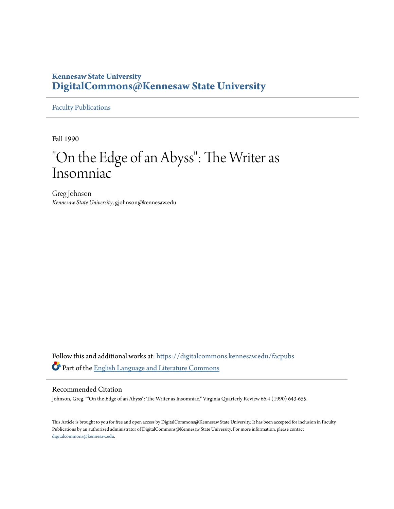#### **Kennesaw State University [DigitalCommons@Kennesaw State University](https://digitalcommons.kennesaw.edu?utm_source=digitalcommons.kennesaw.edu%2Ffacpubs%2F165&utm_medium=PDF&utm_campaign=PDFCoverPages)**

[Faculty Publications](https://digitalcommons.kennesaw.edu/facpubs?utm_source=digitalcommons.kennesaw.edu%2Ffacpubs%2F165&utm_medium=PDF&utm_campaign=PDFCoverPages)

Fall 1990

### "On the Edge of an Abyss": The Writer as Insomniac

Greg Johnson *Kennesaw State University*, gjohnson@kennesaw.edu

Follow this and additional works at: [https://digitalcommons.kennesaw.edu/facpubs](https://digitalcommons.kennesaw.edu/facpubs?utm_source=digitalcommons.kennesaw.edu%2Ffacpubs%2F165&utm_medium=PDF&utm_campaign=PDFCoverPages) Part of the [English Language and Literature Commons](http://network.bepress.com/hgg/discipline/455?utm_source=digitalcommons.kennesaw.edu%2Ffacpubs%2F165&utm_medium=PDF&utm_campaign=PDFCoverPages)

#### Recommended Citation

Johnson, Greg. ""On the Edge of an Abyss": The Writer as Insomniac." Virginia Quarterly Review 66.4 (1990) 643-655.

This Article is brought to you for free and open access by DigitalCommons@Kennesaw State University. It has been accepted for inclusion in Faculty Publications by an authorized administrator of DigitalCommons@Kennesaw State University. For more information, please contact [digitalcommons@kennesaw.edu.](mailto:digitalcommons@kennesaw.edu)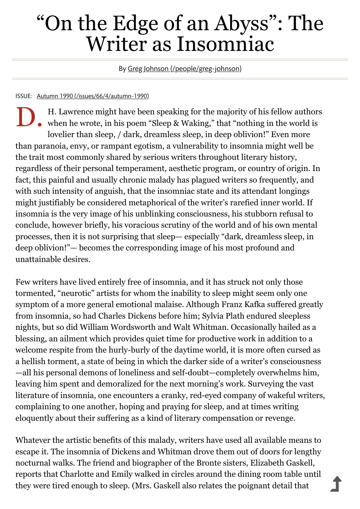# "On the Edge of an Abyss": The Writer as Insomniac

By Greg Johnson [\(/people/greg-johnson\)](https://www.vqronline.org/people/greg-johnson)

#### ISSUE: Autumn 1990 [\(/issues/66/4/autumn-1990\)](https://www.vqronline.org/issues/66/4/autumn-1990)

D. H. Lawrence might have been speaking for the majority of his fellow author<br>when he wrote, in his poem "Sleep & Waking," that "nothing in the world is H. Lawrence might have been speaking for the majority of his fellow authors lovelier than sleep, / dark, dreamless sleep, in deep oblivion!" Even more than paranoia, envy, or rampant egotism, a vulnerability to insomnia might well be the trait most commonly shared by serious writers throughout literary history, regardless of their personal temperament, aesthetic program, or country of origin. In fact, this painful and usually chronic malady has plagued writers so frequently, and with such intensity of anguish, that the insomniac state and its attendant longings might justifiably be considered metaphorical of the writer's rarefied inner world. If insomnia is the very image of his unblinking consciousness, his stubborn refusal to conclude, however briefly, his voracious scrutiny of the world and of his own mental processes, then it is not surprising that sleep— especially "dark, dreamless sleep, in deep oblivion!"— becomes the corresponding image of his most profound and unattainable desires.

Few writers have lived entirely free of insomnia, and it has struck not only those tormented, "neurotic" artists for whom the inability to sleep might seem only one symptom of a more general emotional malaise. Although Franz Kafka suffered greatly from insomnia, so had Charles Dickens before him; Sylvia Plath endured sleepless nights, but so did William Wordsworth and Walt Whitman. Occasionally hailed as a blessing, an ailment which provides quiet time for productive work in addition to a welcome respite from the hurly-burly of the daytime world, it is more often cursed as a hellish torment, a state of being in which the darker side of a writer's consciousness —all his personal demons of loneliness and self-doubt—completely overwhelms him, leaving him spent and demoralized for the next morning's work. Surveying the vast literature of insomnia, one encounters a cranky, red-eyed company of wakeful writers, complaining to one another, hoping and praying for sleep, and at times writing eloquently about their suffering as a kind of literary compensation or revenge.

Whatever the artistic benefits of this malady, writers have used all available means to escape it. The insomnia of Dickens and Whitman drove them out of doors for lengthy nocturnal walks. The friend and biographer of the Bronte sisters, Elizabeth Gaskell, reports that Charlotte and Emily walked in circles around the dining room table until they were tired enough to sleep. (Mrs. Gaskell also relates the poignant detail that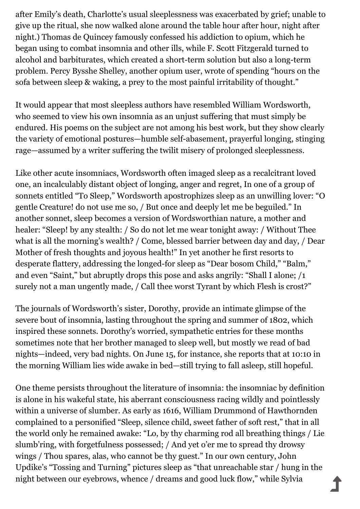after Emily's death, Charlotte's usual sleeplessness was exacerbated by grief; unable to give up the ritual, she now walked alone around the table hour after hour, night after night.) Thomas de Quincey famously confessed his addiction to opium, which he began using to combat insomnia and other ills, while F. Scott Fitzgerald turned to alcohol and barbiturates, which created a short-term solution but also a long-term problem. Percy Bysshe Shelley, another opium user, wrote of spending "hours on the sofa between sleep & waking, a prey to the most painful irritability of thought."

It would appear that most sleepless authors have resembled William Wordsworth, who seemed to view his own insomnia as an unjust suffering that must simply be endured. His poems on the subject are not among his best work, but they show clearly the variety of emotional postures—humble self-abasement, prayerful longing, stinging rage—assumed by a writer suffering the twilit misery of prolonged sleeplessness.

Like other acute insomniacs, Wordsworth often imaged sleep as a recalcitrant loved one, an incalculably distant object of longing, anger and regret, In one of a group of sonnets entitled "To Sleep," Wordsworth apostrophizes sleep as an unwilling lover: "O gentle Creature! do not use me so, / But once and deeply let me be beguiled." In another sonnet, sleep becomes a version of Wordsworthian nature, a mother and healer: "Sleep! by any stealth: / So do not let me wear tonight away: / Without Thee what is all the morning's wealth? / Come, blessed barrier between day and day, / Dear Mother of fresh thoughts and joyous health!" In yet another he first resorts to desperate flattery, addressing the longed-for sleep as "Dear bosom Child," "Balm," and even "Saint," but abruptly drops this pose and asks angrily: "Shall I alone; /1 surely not a man ungently made, / Call thee worst Tyrant by which Flesh is crost?"

The journals of Wordsworth's sister, Dorothy, provide an intimate glimpse of the severe bout of insomnia, lasting throughout the spring and summer of 1802, which inspired these sonnets. Dorothy's worried, sympathetic entries for these months sometimes note that her brother managed to sleep well, but mostly we read of bad nights—indeed, very bad nights. On June 15, for instance, she reports that at 10:10 in the morning William lies wide awake in bed—still trying to fall asleep, still hopeful.

One theme persists throughout the literature of insomnia: the insomniac by definition is alone in his wakeful state, his aberrant consciousness racing wildly and pointlessly within a universe of slumber. As early as 1616, William Drummond of Hawthornden complained to a personified "Sleep, silence child, sweet father of soft rest," that in all the world only he remained awake: "Lo, by thy charming rod all breathing things / Lie slumb'ring, with forgetfulness possessed; / And yet o'er me to spread thy drowsy wings / Thou spares, alas, who cannot be thy guest." In our own century, John Updike's "Tossing and Turning" pictures sleep as "that unreachable star / hung in the night between our eyebrows, whence / dreams and good luck flow," while Sylvia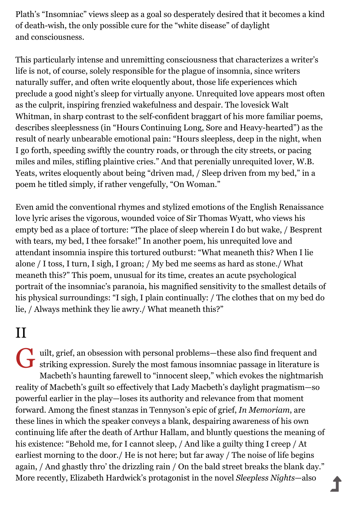Plath's "Insomniac" views sleep as a goal so desperately desired that it becomes a kind of death-wish, the only possible cure for the "white disease" of daylight and consciousness.

This particularly intense and unremitting consciousness that characterizes a writer's life is not, of course, solely responsible for the plague of insomnia, since writers naturally suffer, and often write eloquently about, those life experiences which preclude a good night's sleep for virtually anyone. Unrequited love appears most often as the culprit, inspiring frenzied wakefulness and despair. The lovesick Walt Whitman, in sharp contrast to the self-confident braggart of his more familiar poems, describes sleeplessness (in "Hours Continuing Long, Sore and Heavy-hearted") as the result of nearly unbearable emotional pain: "Hours sleepless, deep in the night, when I go forth, speeding swiftly the country roads, or through the city streets, or pacing miles and miles, stifling plaintive cries." And that perenially unrequited lover, W.B. Yeats, writes eloquently about being "driven mad, / Sleep driven from my bed," in a poem he titled simply, if rather vengefully, "On Woman."

Even amid the conventional rhymes and stylized emotions of the English Renaissance love lyric arises the vigorous, wounded voice of Sir Thomas Wyatt, who views his empty bed as a place of torture: "The place of sleep wherein I do but wake, / Besprent with tears, my bed, I thee forsake!" In another poem, his unrequited love and attendant insomnia inspire this tortured outburst: "What meaneth this? When I lie alone / I toss, I turn, I sigh, I groan; / My bed me seems as hard as stone./ What meaneth this?" This poem, unusual for its time, creates an acute psychological portrait of the insomniac's paranoia, his magnified sensitivity to the smallest details of his physical surroundings: "I sigh, I plain continually: / The clothes that on my bed do lie, / Always methink they lie awry./ What meaneth this?"

# II

While the most famous insomniac passage in literature is striking expression. Surely the most famous insomniac passage in literature is striking expression. Surely the most famous insomniac passage in literature is Macbeth's haunting farewell to "innocent sleep," which evokes the nightmarish reality of Macbeth's guilt so effectively that Lady Macbeth's daylight pragmatism—so powerful earlier in the play—loses its authority and relevance from that moment forward. Among the finest stanzas in Tennyson's epic of grief, *In Memoriam*, are these lines in which the speaker conveys a blank, despairing awareness of his own continuing life after the death of Arthur Hallam, and bluntly questions the meaning of his existence: "Behold me, for I cannot sleep, / And like a guilty thing I creep / At earliest morning to the door./ He is not here; but far away / The noise of life begins again, / And ghastly thro' the drizzling rain / On the bald street breaks the blank day." More recently, Elizabeth Hardwick's protagonist in the novel *Sleepless Nights*—also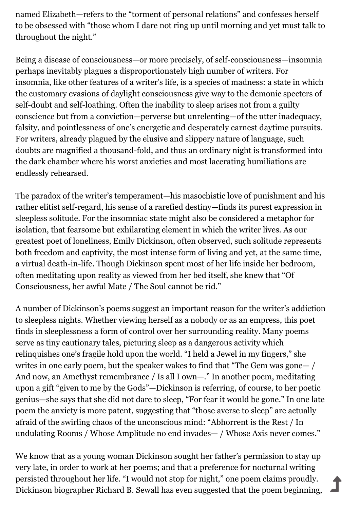named Elizabeth—refers to the "torment of personal relations" and confesses herself to be obsessed with "those whom I dare not ring up until morning and yet must talk to throughout the night."

Being a disease of consciousness—or more precisely, of self-consciousness—insomnia perhaps inevitably plagues a disproportionately high number of writers. For insomnia, like other features of a writer's life, is a species of madness: a state in which the customary evasions of daylight consciousness give way to the demonic specters of self-doubt and self-loathing. Often the inability to sleep arises not from a guilty conscience but from a conviction—perverse but unrelenting—of the utter inadequacy, falsity, and pointlessness of one's energetic and desperately earnest daytime pursuits. For writers, already plagued by the elusive and slippery nature of language, such doubts are magnified a thousand-fold, and thus an ordinary night is transformed into the dark chamber where his worst anxieties and most lacerating humiliations are endlessly rehearsed.

The paradox of the writer's temperament—his masochistic love of punishment and his rather elitist self-regard, his sense of a rarefied destiny—finds its purest expression in sleepless solitude. For the insomniac state might also be considered a metaphor for isolation, that fearsome but exhilarating element in which the writer lives. As our greatest poet of loneliness, Emily Dickinson, often observed, such solitude represents both freedom and captivity, the most intense form of living and yet, at the same time, a virtual death-in-life. Though Dickinson spent most of her life inside her bedroom, often meditating upon reality as viewed from her bed itself, she knew that "Of Consciousness, her awful Mate / The Soul cannot be rid."

A number of Dickinson's poems suggest an important reason for the writer's addiction to sleepless nights. Whether viewing herself as a nobody or as an empress, this poet finds in sleeplessness a form of control over her surrounding reality. Many poems serve as tiny cautionary tales, picturing sleep as a dangerous activity which relinquishes one's fragile hold upon the world. "I held a Jewel in my fingers," she writes in one early poem, but the speaker wakes to find that "The Gem was gone— / And now, an Amethyst remembrance / Is all I own—." In another poem, meditating upon a gift "given to me by the Gods"—Dickinson is referring, of course, to her poetic genius—she says that she did not dare to sleep, "For fear it would be gone." In one late poem the anxiety is more patent, suggesting that "those averse to sleep" are actually afraid of the swirling chaos of the unconscious mind: "Abhorrent is the Rest / In undulating Rooms / Whose Amplitude no end invades— / Whose Axis never comes."

We know that as a young woman Dickinson sought her father's permission to stay up very late, in order to work at her poems; and that a preference for nocturnal writing persisted throughout her life. "I would not stop for night," one poem claims proudly. Dickinson biographer Richard B. Sewall has even suggested that the poem beginning,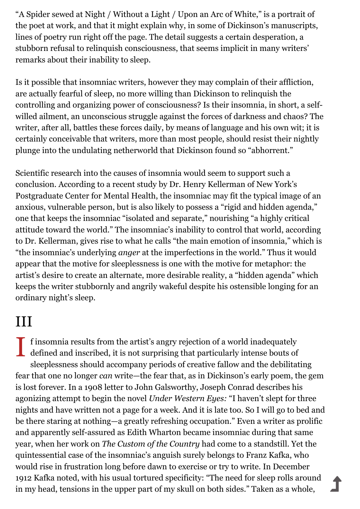"A Spider sewed at Night / Without a Light / Upon an Arc of White," is a portrait of the poet at work, and that it might explain why, in some of Dickinson's manuscripts, lines of poetry run right off the page. The detail suggests a certain desperation, a stubborn refusal to relinquish consciousness, that seems implicit in many writers' remarks about their inability to sleep.

Is it possible that insomniac writers, however they may complain of their affliction, are actually fearful of sleep, no more willing than Dickinson to relinquish the controlling and organizing power of consciousness? Is their insomnia, in short, a selfwilled ailment, an unconscious struggle against the forces of darkness and chaos? The writer, after all, battles these forces daily, by means of language and his own wit; it is certainly conceivable that writers, more than most people, should resist their nightly plunge into the undulating netherworld that Dickinson found so "abhorrent."

Scientific research into the causes of insomnia would seem to support such a conclusion. According to a recent study by Dr. Henry Kellerman of New York's Postgraduate Center for Mental Health, the insomniac may fit the typical image of an anxious, vulnerable person, but is also likely to possess a "rigid and hidden agenda," one that keeps the insomniac "isolated and separate," nourishing "a highly critical attitude toward the world." The insomniac's inability to control that world, according to Dr. Kellerman, gives rise to what he calls "the main emotion of insomnia," which is "the insomniac's underlying *anger* at the imperfections in the world." Thus it would appear that the motive for sleeplessness is one with the motive for metaphor: the artist's desire to create an alternate, more desirable reality, a "hidden agenda" which keeps the writer stubbornly and angrily wakeful despite his ostensible longing for an ordinary night's sleep.

## III

I f insomnia results from the artist's angry rejection of a world inadequately defined and inscribed, it is not surprising that particularly intense bouts of defined and inscribed, it is not surprising that particularly intense bouts of sleeplessness should accompany periods of creative fallow and the debilitating fear that one no longer *can* write—the fear that, as in Dickinson's early poem, the gem is lost forever. In a 1908 letter to John Galsworthy, Joseph Conrad describes his agonizing attempt to begin the novel *Under Western Eyes:* "I haven't slept for three nights and have written not a page for a week. And it is late too. So I will go to bed and be there staring at nothing—a greatly refreshing occupation." Even a writer as prolific and apparently self-assured as Edith Wharton became insomniac during that same year, when her work on *The Custom of the Country* had come to a standstill. Yet the quintessential case of the insomniac's anguish surely belongs to Franz Kafka, who would rise in frustration long before dawn to exercise or try to write. In December 1912 Kafka noted, with his usual tortured specificity: "The need for sleep rolls around in my head, tensions in the upper part of my skull on both sides." Taken as a whole,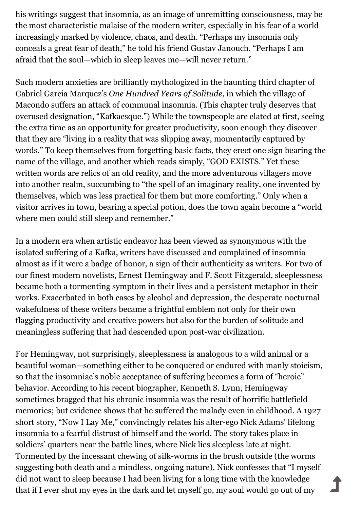his writings suggest that insomnia, as an image of unremitting consciousness, may be the most characteristic malaise of the modern writer, especially in his fear of a world increasingly marked by violence, chaos, and death. "Perhaps my insomnia only conceals a great fear of death," he told his friend Gustav Janouch. "Perhaps I am afraid that the soul—which in sleep leaves me—will never return."

Such modern anxieties are brilliantly mythologized in the haunting third chapter of Gabriel Garcia Marquez's *One Hundred Years of Solitude*, in which the village of Macondo suffers an attack of communal insomnia. (This chapter truly deserves that overused designation, "Kafkaesque.") While the townspeople are elated at first, seeing the extra time as an opportunity for greater productivity, soon enough they discover that they are "living in a reality that was slipping away, momentarily captured by words." To keep themselves from forgetting basic facts, they erect one sign bearing the name of the village, and another which reads simply, "GOD EXISTS." Yet these written words are relics of an old reality, and the more adventurous villagers move into another realm, succumbing to "the spell of an imaginary reality, one invented by themselves, which was less practical for them but more comforting." Only when a visitor arrives in town, bearing a special potion, does the town again become a "world where men could still sleep and remember."

In a modern era when artistic endeavor has been viewed as synonymous with the isolated suffering of a Kafka, writers have discussed and complained of insomnia almost as if it were a badge of honor, a sign of their authenticity as writers. For two of our finest modern novelists, Ernest Hemingway and F. Scott Fitzgerald, sleeplessness became both a tormenting symptom in their lives and a persistent metaphor in their works. Exacerbated in both cases by alcohol and depression, the desperate nocturnal wakefulness of these writers became a frightful emblem not only for their own flagging productivity and creative powers but also for the burden of solitude and meaningless suffering that had descended upon post-war civilization.

For Hemingway, not surprisingly, sleeplessness is analogous to a wild animal or a beautiful woman—something either to be conquered or endured with manly stoicism, so that the insomniac's noble acceptance of suffering becomes a form of "heroic" behavior. According to his recent biographer, Kenneth S. Lynn, Hemingway sometimes bragged that his chronic insomnia was the result of horrific battlefield memories; but evidence shows that he suffered the malady even in childhood. A 1927 short story, "Now I Lay Me," convincingly relates his alter-ego Nick Adams' lifelong insomnia to a fearful distrust of himself and the world. The story takes place in soldiers' quarters near the battle lines, where Nick lies sleepless late at night. Tormented by the incessant chewing of silk-worms in the brush outside (the worms suggesting both death and a mindless, ongoing nature), Nick confesses that "I myself did not want to sleep because I had been living for a long time with the knowledge that if I ever shut my eyes in the dark and let myself go, my soul would go out of my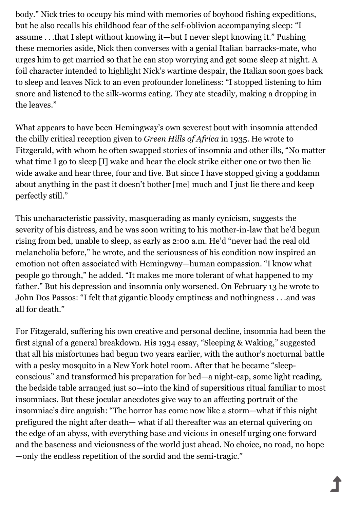body." Nick tries to occupy his mind with memories of boyhood fishing expeditions, but he also recalls his childhood fear of the self-oblivion accompanying sleep: "I assume . . .that I slept without knowing it—but I never slept knowing it." Pushing these memories aside, Nick then converses with a genial Italian barracks-mate, who urges him to get married so that he can stop worrying and get some sleep at night. A foil character intended to highlight Nick's wartime despair, the Italian soon goes back to sleep and leaves Nick to an even profounder loneliness: "I stopped listening to him snore and listened to the silk-worms eating. They ate steadily, making a dropping in the leaves."

What appears to have been Hemingway's own severest bout with insomnia attended the chilly critical reception given to *Green Hills of Africa* in 1935. He wrote to Fitzgerald, with whom he often swapped stories of insomnia and other ills, "No matter what time I go to sleep [I] wake and hear the clock strike either one or two then lie wide awake and hear three, four and five. But since I have stopped giving a goddamn about anything in the past it doesn't bother [me] much and I just lie there and keep perfectly still."

This uncharacteristic passivity, masquerading as manly cynicism, suggests the severity of his distress, and he was soon writing to his mother-in-law that he'd begun rising from bed, unable to sleep, as early as 2:00 a.m. He'd "never had the real old melancholia before," he wrote, and the seriousness of his condition now inspired an emotion not often associated with Hemingway—human compassion. "I know what people go through," he added. "It makes me more tolerant of what happened to my father." But his depression and insomnia only worsened. On February 13 he wrote to John Dos Passos: "I felt that gigantic bloody emptiness and nothingness . . .and was all for death."

For Fitzgerald, suffering his own creative and personal decline, insomnia had been the first signal of a general breakdown. His 1934 essay, "Sleeping & Waking," suggested that all his misfortunes had begun two years earlier, with the author's nocturnal battle with a pesky mosquito in a New York hotel room. After that he became "sleepconscious" and transformed his preparation for bed—a night-cap, some light reading, the bedside table arranged just so—into the kind of supersitious ritual familiar to most insomniacs. But these jocular anecdotes give way to an affecting portrait of the insomniac's dire anguish: "The horror has come now like a storm—what if this night prefigured the night after death— what if all thereafter was an eternal quivering on the edge of an abyss, with everything base and vicious in oneself urging one forward and the baseness and viciousness of the world just ahead. No choice, no road, no hope —only the endless repetition of the sordid and the semi-tragic."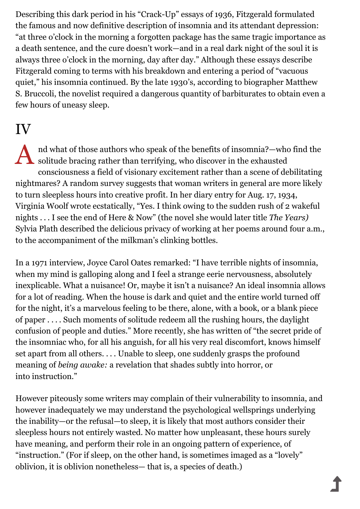Describing this dark period in his "Crack-Up" essays of 1936, Fitzgerald formulated the famous and now definitive description of insomnia and its attendant depression: "at three o'clock in the morning a forgotten package has the same tragic importance as a death sentence, and the cure doesn't work—and in a real dark night of the soul it is always three o'clock in the morning, day after day." Although these essays describe Fitzgerald coming to terms with his breakdown and entering a period of "vacuous quiet," his insomnia continued. By the late 1930's, according to biographer Matthew S. Bruccoli, the novelist required a dangerous quantity of barbiturates to obtain even a few hours of uneasy sleep.

### IV

A nd what of those authors who speak of the benefits of insomnia?—who solitude bracing rather than terrifying, who discover in the exhausted nd what of those authors who speak of the benefits of insomnia?—who find the consciousness a field of visionary excitement rather than a scene of debilitating nightmares? A random survey suggests that woman writers in general are more likely to turn sleepless hours into creative profit. In her diary entry for Aug. 17, 1934, Virginia Woolf wrote ecstatically, "Yes. I think owing to the sudden rush of 2 wakeful nights . . . I see the end of Here & Now" (the novel she would later title *The Years)* Sylvia Plath described the delicious privacy of working at her poems around four a.m., to the accompaniment of the milkman's clinking bottles.

In a 1971 interview, Joyce Carol Oates remarked: "I have terrible nights of insomnia, when my mind is galloping along and I feel a strange eerie nervousness, absolutely inexplicable. What a nuisance! Or, maybe it isn't a nuisance? An ideal insomnia allows for a lot of reading. When the house is dark and quiet and the entire world turned off for the night, it's a marvelous feeling to be there, alone, with a book, or a blank piece of paper . . . . Such moments of solitude redeem all the rushing hours, the daylight confusion of people and duties." More recently, she has written of "the secret pride of the insomniac who, for all his anguish, for all his very real discomfort, knows himself set apart from all others. . . . Unable to sleep, one suddenly grasps the profound meaning of *being awake:* a revelation that shades subtly into horror, or into instruction."

However piteously some writers may complain of their vulnerability to insomnia, and however inadequately we may understand the psychological wellsprings underlying the inability—or the refusal—to sleep, it is likely that most authors consider their sleepless hours not entirely wasted. No matter how unpleasant, these hours surely have meaning, and perform their role in an ongoing pattern of experience, of "instruction." (For if sleep, on the other hand, is sometimes imaged as a "lovely" oblivion, it is oblivion nonetheless— that is, a species of death.)